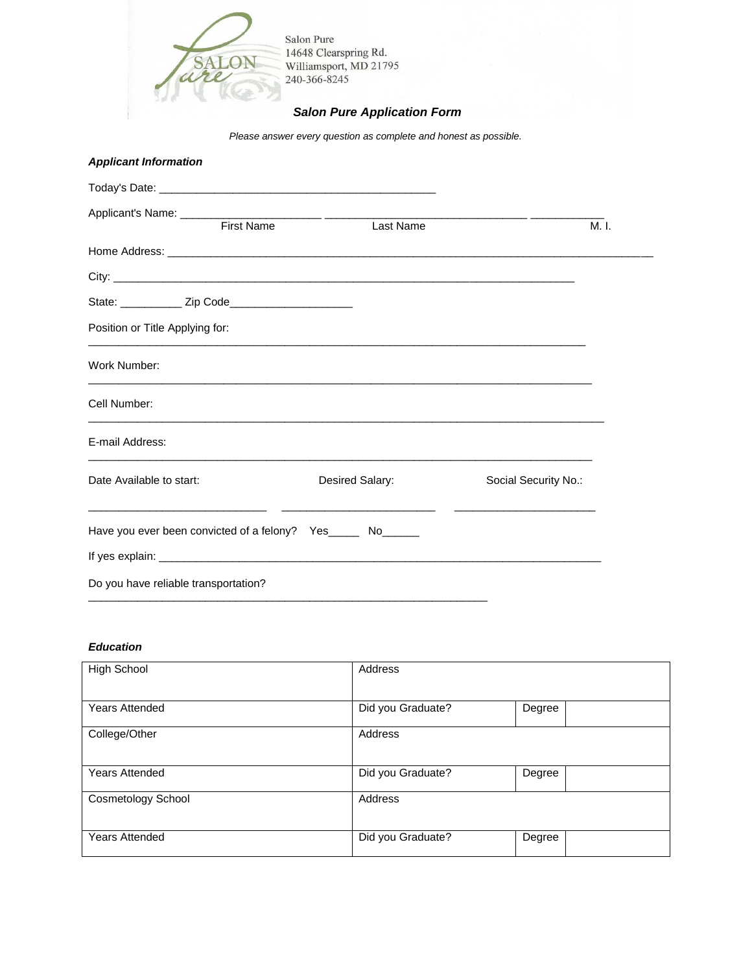

*Please answer every question as complete and honest as possible.*

|  |  |  | <b>Applicant Information</b> |
|--|--|--|------------------------------|
|  |  |  |                              |

| <b>First Name</b>                                              | Last Name       |                      | M. I. |
|----------------------------------------------------------------|-----------------|----------------------|-------|
|                                                                |                 |                      |       |
|                                                                |                 |                      |       |
| State: _____________ Zip Code___________________________       |                 |                      |       |
| Position or Title Applying for:                                |                 |                      |       |
| Work Number:                                                   |                 |                      |       |
| Cell Number:                                                   |                 |                      |       |
| E-mail Address:                                                |                 |                      |       |
| Date Available to start:                                       | Desired Salary: | Social Security No.: |       |
| Have you ever been convicted of a felony? Yes_______ No_______ |                 |                      |       |
|                                                                |                 |                      |       |
| Do you have reliable transportation?                           |                 |                      |       |

#### *Education*

| <b>High School</b>        | Address           |        |
|---------------------------|-------------------|--------|
| <b>Years Attended</b>     | Did you Graduate? | Degree |
| College/Other             | Address           |        |
| <b>Years Attended</b>     | Did you Graduate? | Degree |
| <b>Cosmetology School</b> | Address           |        |
| <b>Years Attended</b>     | Did you Graduate? | Degree |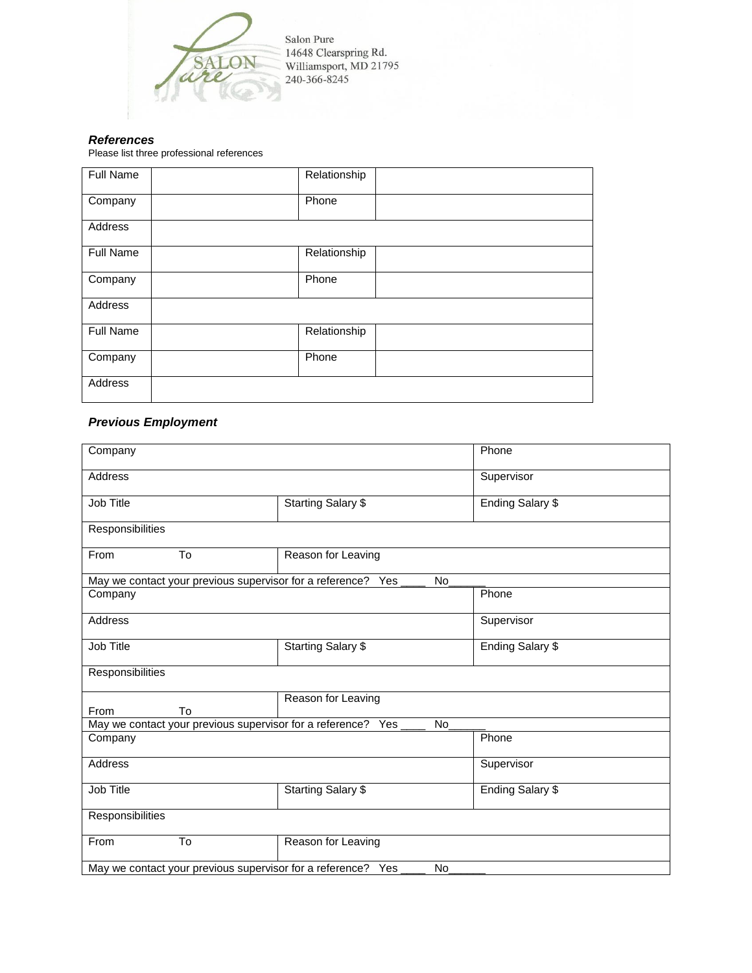

Salon Pure 14648 Clearspring Rd.<br>Williamsport, MD 21795<br>240-366-8245

# *References*

Please list three professional references

| <b>Full Name</b> | Relationship |
|------------------|--------------|
| Company          | Phone        |
| Address          |              |
| Full Name        | Relationship |
| Company          | Phone        |
| Address          |              |
| Full Name        | Relationship |
| Company          | Phone        |
| Address          |              |

# *Previous Employment*

| Company                                                                   |                           | Phone            |  |  |
|---------------------------------------------------------------------------|---------------------------|------------------|--|--|
| <b>Address</b>                                                            |                           | Supervisor       |  |  |
| Job Title                                                                 | <b>Starting Salary \$</b> | Ending Salary \$ |  |  |
| Responsibilities                                                          |                           |                  |  |  |
| From<br>To                                                                | Reason for Leaving        |                  |  |  |
| May we contact your previous supervisor for a reference? Yes              | <b>No</b>                 |                  |  |  |
| Company                                                                   |                           | Phone            |  |  |
| Address                                                                   |                           | Supervisor       |  |  |
| Job Title                                                                 | <b>Starting Salary \$</b> | Ending Salary \$ |  |  |
| Responsibilities                                                          |                           |                  |  |  |
| To<br>From                                                                | Reason for Leaving        |                  |  |  |
| May we contact your previous supervisor for a reference? Yes<br><b>No</b> |                           |                  |  |  |
| Company                                                                   |                           | Phone            |  |  |
| Address                                                                   |                           | Supervisor       |  |  |
| Job Title                                                                 | <b>Starting Salary \$</b> | Ending Salary \$ |  |  |
| Responsibilities                                                          |                           |                  |  |  |
| To<br>From                                                                | Reason for Leaving        |                  |  |  |
| May we contact your previous supervisor for a reference? Yes<br>No        |                           |                  |  |  |